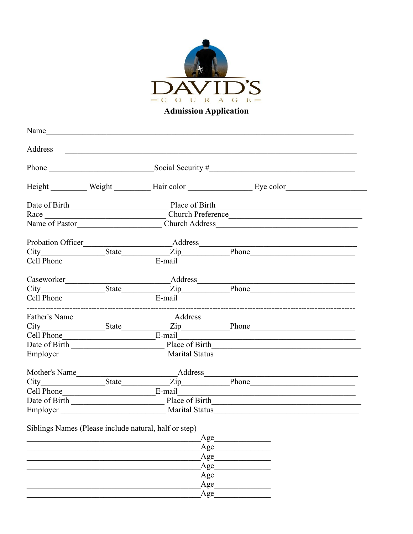

Name and the contract of the contract of the contract of the contract of the contract of the contract of the contract of the contract of the contract of the contract of the contract of the contract of the contract of the c Address Phone Social Security # Height Weight Hair color Eye color Church Preference Race Name of Pastor Church Address Church Address Probation Officer Address Zip Phone City State  $E$ -mail  $\qquad \qquad \qquad$ Cell Phone Caseworker Address  $\overline{Zip}$  Phone State State City Cell Phone E-mail \_\_\_\_\_\_\_\_\_\_\_\_\_\_\_\_ Address Father's Name Zip Phone City State Cell Phone E-mail Date of Birth Place of Birth Employer Marital Status Marital Status Mother's Name Address  $\overline{Zip}$  Phone E-mail Cell Phone Date of Birth Place of Birth Place of Birth Employer Marital Status

Siblings Names (Please include natural, half or step)

| Age        |
|------------|
| Age        |
| Age        |
| Age        |
| Age<br>Age |
|            |
| Age        |
|            |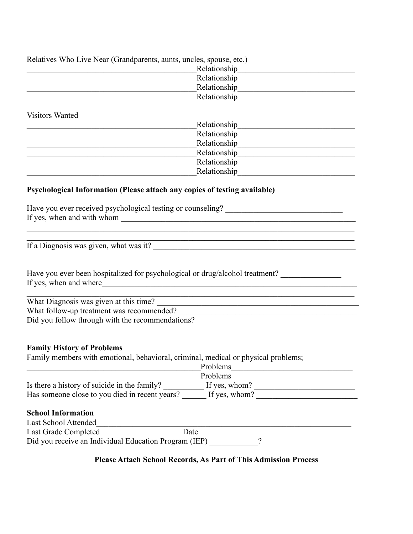| Relatives Who Live Near (Grandparents, aunts, uncles, spouse, etc.) |              |  |
|---------------------------------------------------------------------|--------------|--|
|                                                                     | Relationship |  |
|                                                                     | Relationship |  |
|                                                                     | Relationship |  |
|                                                                     | Relationship |  |

Visitors Wanted

| Relationship |  |
|--------------|--|
| Relationship |  |
| Relationship |  |
| Relationship |  |
| Relationship |  |
| Relationship |  |

### **Psychological Information (Please attach any copies of testing available)**

| Have you ever received psychological testing or counseling?<br>If yes, when and with whom                                               |  |  |
|-----------------------------------------------------------------------------------------------------------------------------------------|--|--|
|                                                                                                                                         |  |  |
| If a Diagnosis was given, what was it?                                                                                                  |  |  |
| Have you ever been hospitalized for psychological or drug/alcohol treatment?<br>If yes, when and where                                  |  |  |
| What Diagnosis was given at this time?<br>What follow-up treatment was recommended?<br>Did you follow through with the recommendations? |  |  |

#### **Family History of Problems**

Family members with emotional, behavioral, criminal, medical or physical problems;

| Problems      |          |
|---------------|----------|
| If yes, whom? |          |
| If yes, whom? |          |
|               | Problems |

#### **School Information**

| Last School Attended |                                                       |  |  |
|----------------------|-------------------------------------------------------|--|--|
| Last Grade Completed | <b>J</b> ate                                          |  |  |
|                      | Did you receive an Individual Education Program (IEP) |  |  |

### **Please Attach School Records, As Part of This Admission Process**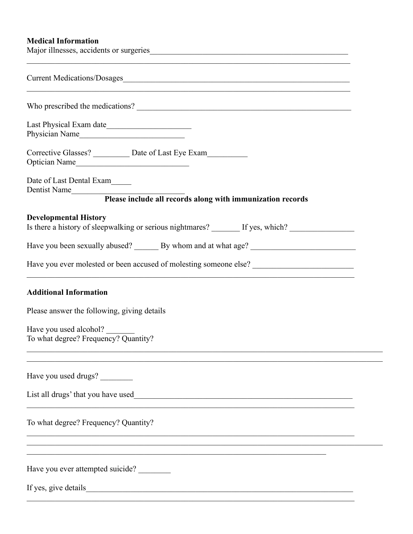### **Medical Information**

| Major illnesses, accidents or surgeries                                                                                                                                                                                    |
|----------------------------------------------------------------------------------------------------------------------------------------------------------------------------------------------------------------------------|
|                                                                                                                                                                                                                            |
|                                                                                                                                                                                                                            |
|                                                                                                                                                                                                                            |
| Corrective Glasses? ___________ Date of Last Eye Exam____________________________<br>Optician Name                                                                                                                         |
| Date of Last Dental Exam_____<br>Dentist Name                                                                                                                                                                              |
| Please include all records along with immunization records                                                                                                                                                                 |
| <b>Developmental History</b><br>Is there a history of sleepwalking or serious nightmares? If yes, which?                                                                                                                   |
|                                                                                                                                                                                                                            |
| Have you ever molested or been accused of molesting someone else? __________________________________<br><u> 1990 - Johann Stein, mars an de ferrer en de ferrer en deur de ferrer en deur de ferrer en de ferrer en de</u> |
| <b>Additional Information</b>                                                                                                                                                                                              |
| Please answer the following, giving details                                                                                                                                                                                |
| Have you used alcohol?<br>To what degree? Frequency? Quantity?                                                                                                                                                             |
| Have you used drugs?                                                                                                                                                                                                       |
| List all drugs' that you have used<br><u> 1989 - John Stein, Amerikaansk politiker (* 1958)</u>                                                                                                                            |
| To what degree? Frequency? Quantity?                                                                                                                                                                                       |
| Have you ever attempted suicide?                                                                                                                                                                                           |
| If yes, give details                                                                                                                                                                                                       |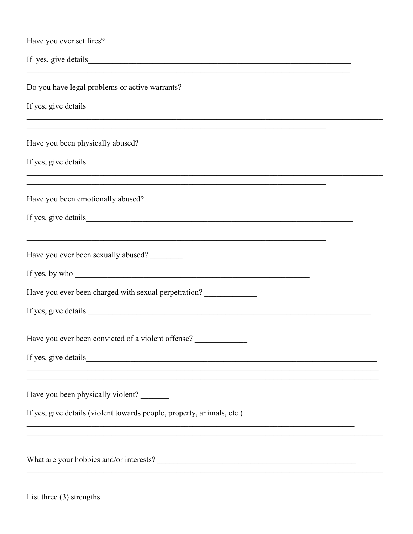| Have you ever set fires?                                                                                                                                                                                                      |
|-------------------------------------------------------------------------------------------------------------------------------------------------------------------------------------------------------------------------------|
| If yes, give details such a set of the set of the set of the set of the set of the set of the set of the set of the set of the set of the set of the set of the set of the set of the set of the set of the set of the set of |
| Do you have legal problems or active warrants?                                                                                                                                                                                |
| <u> 1980 - An t-Alban Alban a chuid ann an t-Alban ann an t-Alban ann an t-Alban ann an t-Alban ann an t-Alban an</u>                                                                                                         |
| ,我们也不能在这里的时候,我们也不能在这里的时候,我们也不能会在这里的时候,我们也不能会在这里的时候,我们也不能会在这里的时候,我们也不能会在这里的时候,我们也<br>Have you been physically abused?                                                                                                          |
|                                                                                                                                                                                                                               |
| Have you been emotionally abused?                                                                                                                                                                                             |
| ,我们也不能在这里的时候,我们也不能在这里的时候,我们也不能不能不能不能不能不能不能不能不能不能不能不能不能不能不能。""我们的是,我们也不能不能不能不能不能不                                                                                                                                              |
| <u> 1989 - Johann John Barn, mars ann an t-Amhainn an t-Amhainn an t-Amhainn an t-Amhainn an t-Amhainn an t-Amhai</u><br>Have you ever been sexually abused?                                                                  |
| If yes, by who                                                                                                                                                                                                                |
| Have you ever been charged with sexual perpetration?                                                                                                                                                                          |
|                                                                                                                                                                                                                               |
| Have you ever been convicted of a violent offense?                                                                                                                                                                            |
| If yes, give details                                                                                                                                                                                                          |
| Have you been physically violent?                                                                                                                                                                                             |
| If yes, give details (violent towards people, property, animals, etc.)                                                                                                                                                        |
|                                                                                                                                                                                                                               |
|                                                                                                                                                                                                                               |
| List three $(3)$ strengths                                                                                                                                                                                                    |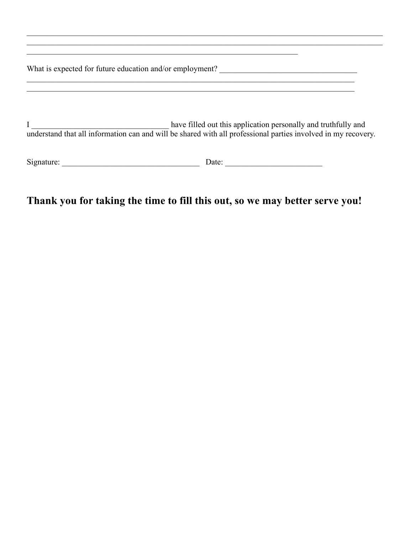| What is expected for future education and/or employment? |                                                                                                                                                                                 |  |
|----------------------------------------------------------|---------------------------------------------------------------------------------------------------------------------------------------------------------------------------------|--|
|                                                          | have filled out this application personally and truthfully and<br>understand that all information can and will be shared with all professional parties involved in my recovery. |  |
| Signature:                                               | Date:                                                                                                                                                                           |  |

# **Thank you for taking the time to fill this out, so we may better serve you!**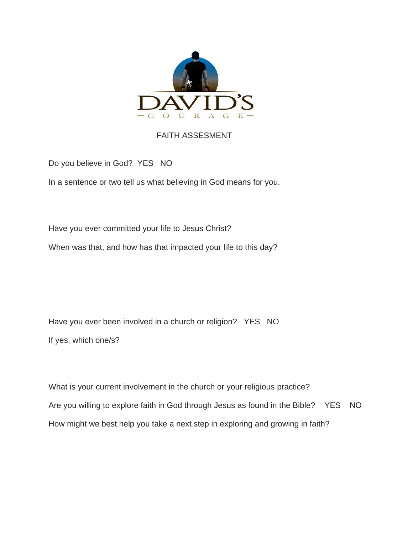

### FAITH ASSESMENT

Do you believe in God? YES NO

In a sentence or two tell us what believing in God means for you.

Have you ever committed your life to Jesus Christ?

When was that, and how has that impacted your life to this day?

Have you ever been involved in a church or religion? YES NO If yes, which one/s?

What is your current involvement in the church or your religious practice? Are you willing to explore faith in God through Jesus as found in the Bible? YES NO How might we best help you take a next step in exploring and growing in faith?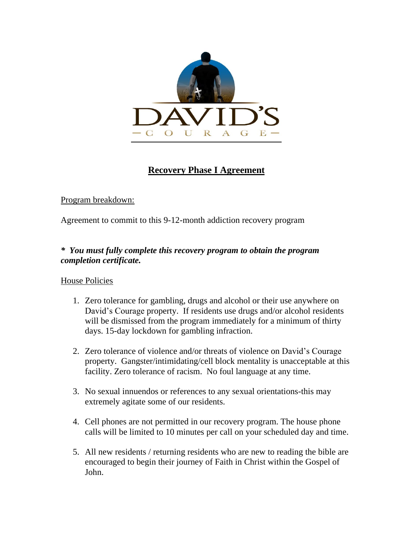

### **Recovery Phase I Agreement**

### Program breakdown:

Agreement to commit to this 9-12-month addiction recovery program

### *\* You must fully complete this recovery program to obtain the program completion certificate.*

### House Policies

- 1. Zero tolerance for gambling, drugs and alcohol or their use anywhere on David's Courage property. If residents use drugs and/or alcohol residents will be dismissed from the program immediately for a minimum of thirty days. 15-day lockdown for gambling infraction.
- 2. Zero tolerance of violence and/or threats of violence on David's Courage property. Gangster/intimidating/cell block mentality is unacceptable at this facility. Zero tolerance of racism. No foul language at any time.
- 3. No sexual innuendos or references to any sexual orientations-this may extremely agitate some of our residents.
- 4. Cell phones are not permitted in our recovery program. The house phone calls will be limited to 10 minutes per call on your scheduled day and time.
- 5. All new residents / returning residents who are new to reading the bible are encouraged to begin their journey of Faith in Christ within the Gospel of John.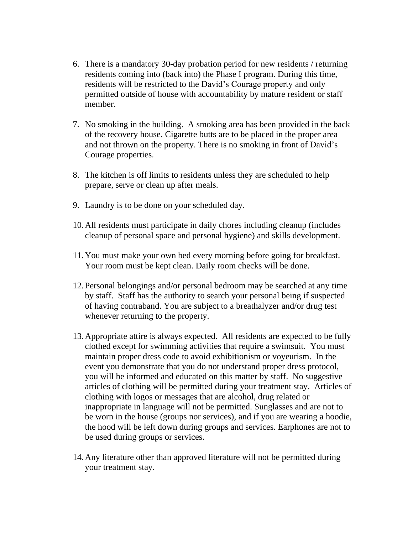- 6. There is a mandatory 30-day probation period for new residents / returning residents coming into (back into) the Phase I program. During this time, residents will be restricted to the David's Courage property and only permitted outside of house with accountability by mature resident or staff member.
- 7. No smoking in the building. A smoking area has been provided in the back of the recovery house. Cigarette butts are to be placed in the proper area and not thrown on the property. There is no smoking in front of David's Courage properties.
- 8. The kitchen is off limits to residents unless they are scheduled to help prepare, serve or clean up after meals.
- 9. Laundry is to be done on your scheduled day.
- 10.All residents must participate in daily chores including cleanup (includes cleanup of personal space and personal hygiene) and skills development.
- 11.You must make your own bed every morning before going for breakfast. Your room must be kept clean. Daily room checks will be done.
- 12.Personal belongings and/or personal bedroom may be searched at any time by staff. Staff has the authority to search your personal being if suspected of having contraband. You are subject to a breathalyzer and/or drug test whenever returning to the property.
- 13.Appropriate attire is always expected. All residents are expected to be fully clothed except for swimming activities that require a swimsuit. You must maintain proper dress code to avoid exhibitionism or voyeurism. In the event you demonstrate that you do not understand proper dress protocol, you will be informed and educated on this matter by staff. No suggestive articles of clothing will be permitted during your treatment stay. Articles of clothing with logos or messages that are alcohol, drug related or inappropriate in language will not be permitted. Sunglasses and are not to be worn in the house (groups nor services), and if you are wearing a hoodie, the hood will be left down during groups and services. Earphones are not to be used during groups or services.
- 14.Any literature other than approved literature will not be permitted during your treatment stay.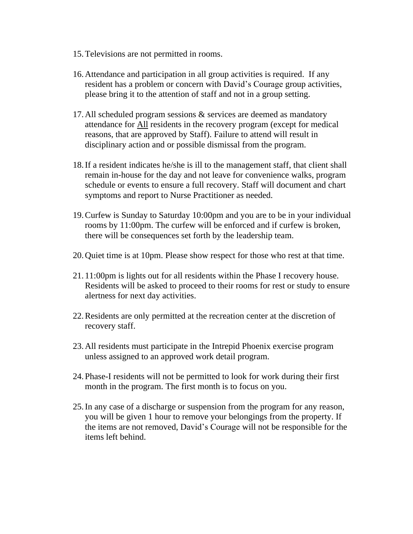- 15.Televisions are not permitted in rooms.
- 16.Attendance and participation in all group activities is required. If any resident has a problem or concern with David's Courage group activities, please bring it to the attention of staff and not in a group setting.
- 17.All scheduled program sessions & services are deemed as mandatory attendance for All residents in the recovery program (except for medical reasons, that are approved by Staff). Failure to attend will result in disciplinary action and or possible dismissal from the program.
- 18.If a resident indicates he/she is ill to the management staff, that client shall remain in-house for the day and not leave for convenience walks, program schedule or events to ensure a full recovery. Staff will document and chart symptoms and report to Nurse Practitioner as needed.
- 19.Curfew is Sunday to Saturday 10:00pm and you are to be in your individual rooms by 11:00pm. The curfew will be enforced and if curfew is broken, there will be consequences set forth by the leadership team.
- 20.Quiet time is at 10pm. Please show respect for those who rest at that time.
- 21. 11:00pm is lights out for all residents within the Phase I recovery house. Residents will be asked to proceed to their rooms for rest or study to ensure alertness for next day activities.
- 22.Residents are only permitted at the recreation center at the discretion of recovery staff.
- 23.All residents must participate in the Intrepid Phoenix exercise program unless assigned to an approved work detail program.
- 24.Phase-I residents will not be permitted to look for work during their first month in the program. The first month is to focus on you.
- 25.In any case of a discharge or suspension from the program for any reason, you will be given 1 hour to remove your belongings from the property. If the items are not removed, David's Courage will not be responsible for the items left behind.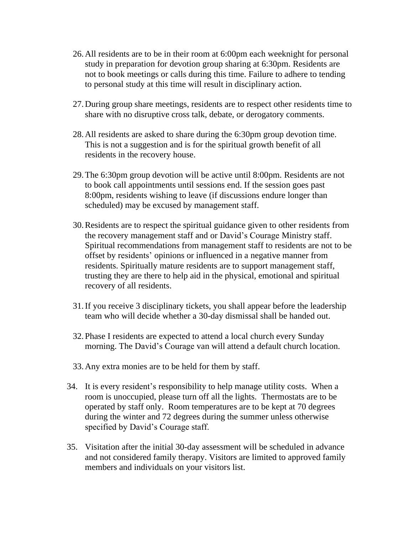- 26.All residents are to be in their room at 6:00pm each weeknight for personal study in preparation for devotion group sharing at 6:30pm. Residents are not to book meetings or calls during this time. Failure to adhere to tending to personal study at this time will result in disciplinary action.
- 27.During group share meetings, residents are to respect other residents time to share with no disruptive cross talk, debate, or derogatory comments.
- 28.All residents are asked to share during the 6:30pm group devotion time. This is not a suggestion and is for the spiritual growth benefit of all residents in the recovery house.
- 29.The 6:30pm group devotion will be active until 8:00pm. Residents are not to book call appointments until sessions end. If the session goes past 8:00pm, residents wishing to leave (if discussions endure longer than scheduled) may be excused by management staff.
- 30.Residents are to respect the spiritual guidance given to other residents from the recovery management staff and or David's Courage Ministry staff. Spiritual recommendations from management staff to residents are not to be offset by residents' opinions or influenced in a negative manner from residents. Spiritually mature residents are to support management staff, trusting they are there to help aid in the physical, emotional and spiritual recovery of all residents.
- 31.If you receive 3 disciplinary tickets, you shall appear before the leadership team who will decide whether a 30-day dismissal shall be handed out.
- 32.Phase I residents are expected to attend a local church every Sunday morning. The David's Courage van will attend a default church location.
- 33.Any extra monies are to be held for them by staff.
- 34. It is every resident's responsibility to help manage utility costs. When a room is unoccupied, please turn off all the lights. Thermostats are to be operated by staff only. Room temperatures are to be kept at 70 degrees during the winter and 72 degrees during the summer unless otherwise specified by David's Courage staff.
- 35. Visitation after the initial 30-day assessment will be scheduled in advance and not considered family therapy. Visitors are limited to approved family members and individuals on your visitors list.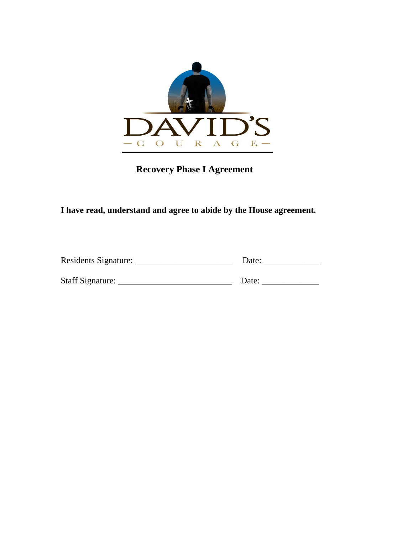

 **Recovery Phase I Agreement**

**I have read, understand and agree to abide by the House agreement.**

| <b>Residents Signature:</b> |  |
|-----------------------------|--|
|                             |  |

Staff Signature: \_\_\_\_\_\_\_\_\_\_\_\_\_\_\_\_\_\_\_\_\_\_\_\_\_\_ Date: \_\_\_\_\_\_\_\_\_\_\_\_\_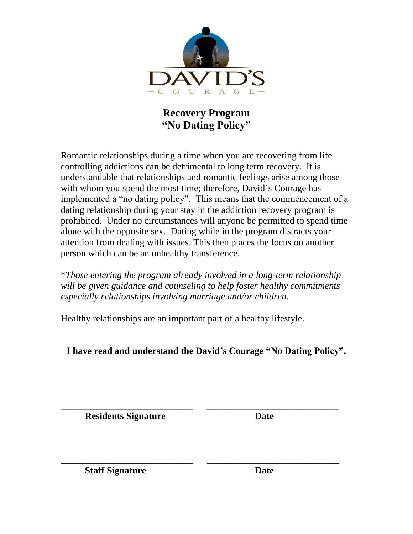

## **Recovery Program "No Dating Policy"**

Romantic relationships during a time when you are recovering from life controlling addictions can be detrimental to long term recovery. It is understandable that relationships and romantic feelings arise among those with whom you spend the most time; therefore, David's Courage has implemented a "no dating policy". This means that the commencement of a dating relationship during your stay in the addiction recovery program is prohibited. Under no circumstances will anyone be permitted to spend time alone with the opposite sex. Dating while in the program distracts your attention from dealing with issues. This then places the focus on another person which can be an unhealthy transference.

\**Those entering the program already involved in a long-term relationship will be given guidance and counseling to help foster healthy commitments especially relationships involving marriage and/or children.*

Healthy relationships are an important part of a healthy lifestyle.

**I have read and understand the David's Courage "No Dating Policy".**

\_\_\_\_\_\_\_\_\_\_\_\_\_\_\_\_\_\_\_\_\_\_\_\_\_\_\_\_ \_\_\_\_\_\_\_\_\_\_\_\_\_\_\_\_\_\_\_\_\_\_\_\_\_\_\_\_

\_\_\_\_\_\_\_\_\_\_\_\_\_\_\_\_\_\_\_\_\_\_\_\_\_\_\_\_ \_\_\_\_\_\_\_\_\_\_\_\_\_\_\_\_\_\_\_\_\_\_\_\_\_\_\_\_ **Residents Signature Date**

**Staff Signature Date**